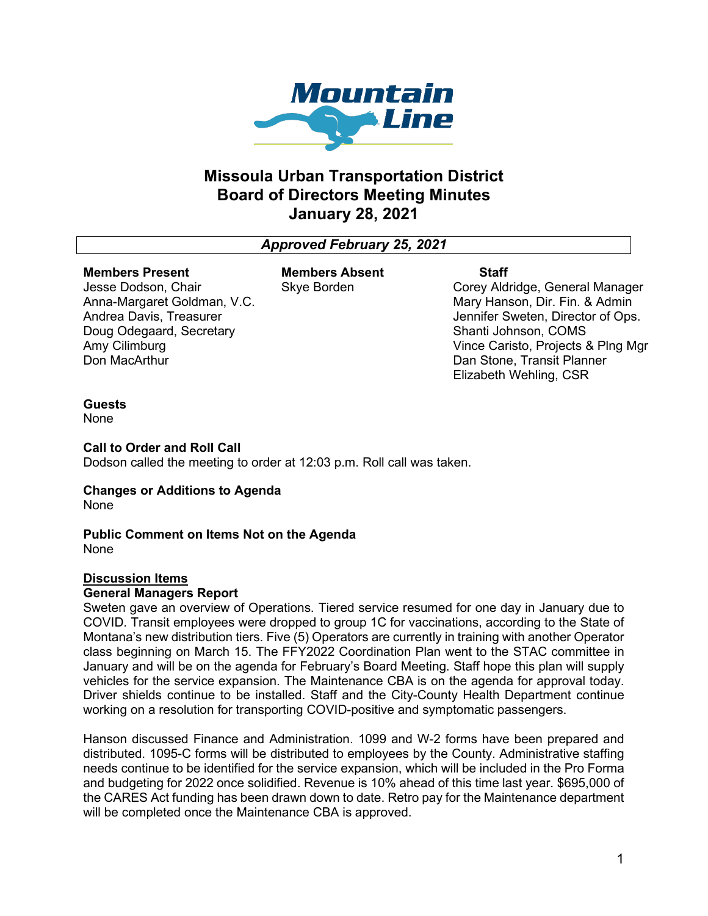

# **Missoula Urban Transportation District Board of Directors Meeting Minutes January 28, 2021**

# *Approved February 25, 2021*

#### **Members Present**

Jesse Dodson, Chair Anna-Margaret Goldman, V.C. Andrea Davis, Treasurer Doug Odegaard, Secretary Amy Cilimburg Don MacArthur

**Members Absent** Skye Borden

**Staff**

Corey Aldridge, General Manager Mary Hanson, Dir. Fin. & Admin Jennifer Sweten, Director of Ops. Shanti Johnson, COMS Vince Caristo, Projects & Plng Mgr Dan Stone, Transit Planner Elizabeth Wehling, CSR

## **Guests**

None

**Call to Order and Roll Call**

Dodson called the meeting to order at 12:03 p.m. Roll call was taken.

#### **Changes or Additions to Agenda** None

#### **Public Comment on Items Not on the Agenda** None

## **Discussion Items**

#### **General Managers Report**

Sweten gave an overview of Operations. Tiered service resumed for one day in January due to COVID. Transit employees were dropped to group 1C for vaccinations, according to the State of Montana's new distribution tiers. Five (5) Operators are currently in training with another Operator class beginning on March 15. The FFY2022 Coordination Plan went to the STAC committee in January and will be on the agenda for February's Board Meeting. Staff hope this plan will supply vehicles for the service expansion. The Maintenance CBA is on the agenda for approval today. Driver shields continue to be installed. Staff and the City-County Health Department continue working on a resolution for transporting COVID-positive and symptomatic passengers.

Hanson discussed Finance and Administration. 1099 and W-2 forms have been prepared and distributed. 1095-C forms will be distributed to employees by the County. Administrative staffing needs continue to be identified for the service expansion, which will be included in the Pro Forma and budgeting for 2022 once solidified. Revenue is 10% ahead of this time last year. \$695,000 of the CARES Act funding has been drawn down to date. Retro pay for the Maintenance department will be completed once the Maintenance CBA is approved.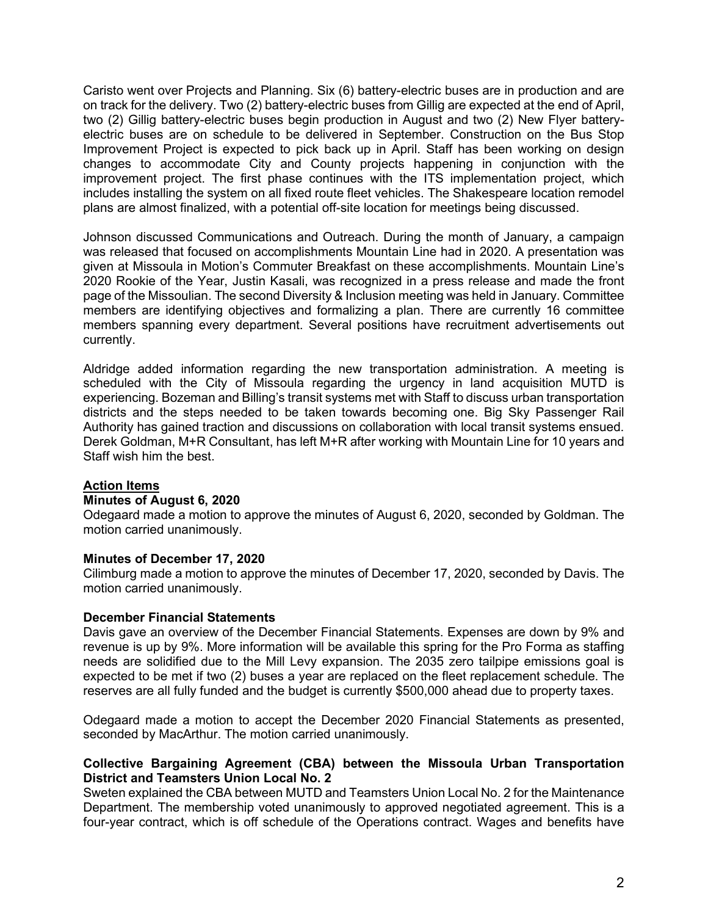Caristo went over Projects and Planning. Six (6) battery-electric buses are in production and are on track for the delivery. Two (2) battery-electric buses from Gillig are expected at the end of April, two (2) Gillig battery-electric buses begin production in August and two (2) New Flyer batteryelectric buses are on schedule to be delivered in September. Construction on the Bus Stop Improvement Project is expected to pick back up in April. Staff has been working on design changes to accommodate City and County projects happening in conjunction with the improvement project. The first phase continues with the ITS implementation project, which includes installing the system on all fixed route fleet vehicles. The Shakespeare location remodel plans are almost finalized, with a potential off-site location for meetings being discussed.

Johnson discussed Communications and Outreach. During the month of January, a campaign was released that focused on accomplishments Mountain Line had in 2020. A presentation was given at Missoula in Motion's Commuter Breakfast on these accomplishments. Mountain Line's 2020 Rookie of the Year, Justin Kasali, was recognized in a press release and made the front page of the Missoulian. The second Diversity & Inclusion meeting was held in January. Committee members are identifying objectives and formalizing a plan. There are currently 16 committee members spanning every department. Several positions have recruitment advertisements out currently.

Aldridge added information regarding the new transportation administration. A meeting is scheduled with the City of Missoula regarding the urgency in land acquisition MUTD is experiencing. Bozeman and Billing's transit systems met with Staff to discuss urban transportation districts and the steps needed to be taken towards becoming one. Big Sky Passenger Rail Authority has gained traction and discussions on collaboration with local transit systems ensued. Derek Goldman, M+R Consultant, has left M+R after working with Mountain Line for 10 years and Staff wish him the best.

#### **Action Items**

#### **Minutes of August 6, 2020**

Odegaard made a motion to approve the minutes of August 6, 2020, seconded by Goldman. The motion carried unanimously.

#### **Minutes of December 17, 2020**

Cilimburg made a motion to approve the minutes of December 17, 2020, seconded by Davis. The motion carried unanimously.

#### **December Financial Statements**

Davis gave an overview of the December Financial Statements. Expenses are down by 9% and revenue is up by 9%. More information will be available this spring for the Pro Forma as staffing needs are solidified due to the Mill Levy expansion. The 2035 zero tailpipe emissions goal is expected to be met if two (2) buses a year are replaced on the fleet replacement schedule. The reserves are all fully funded and the budget is currently \$500,000 ahead due to property taxes.

Odegaard made a motion to accept the December 2020 Financial Statements as presented, seconded by MacArthur. The motion carried unanimously.

## **Collective Bargaining Agreement (CBA) between the Missoula Urban Transportation District and Teamsters Union Local No. 2**

Sweten explained the CBA between MUTD and Teamsters Union Local No. 2 for the Maintenance Department. The membership voted unanimously to approved negotiated agreement. This is a four-year contract, which is off schedule of the Operations contract. Wages and benefits have